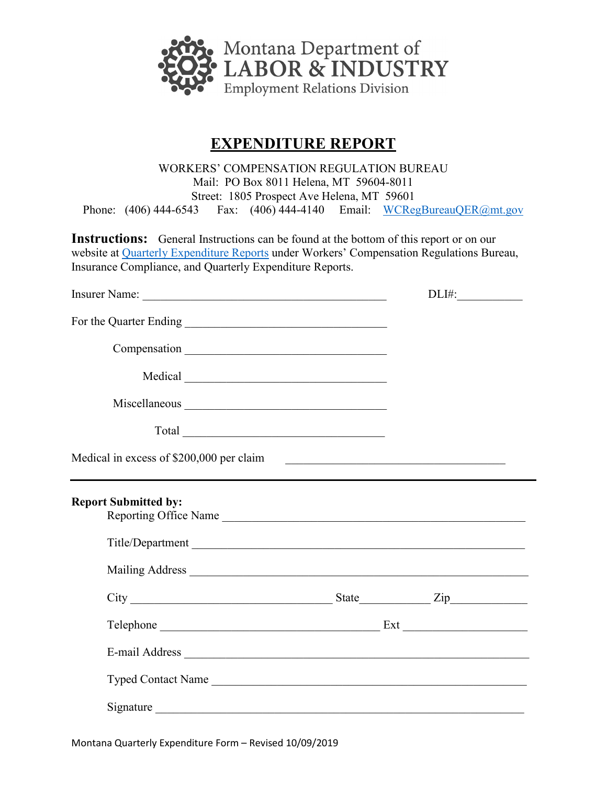

## **EXPENDITURE REPORT**

WORKERS' COMPENSATION REGULATION BUREAU Mail: PO Box 8011 Helena, MT 59604-8011 Street: 1805 Prospect Ave Helena, MT 59601 Phone: (406) 444-6543 Fax: (406) 444-4140 Email: [WCRegBureauQER@mt.gov](mailto:WCRegBureauQER@mt.gov)

**Instructions:** General Instructions can be found at the bottom of this report or on our website at [Quarterly Expenditure Reports](http://erd.dli.mt.gov/work-comp-regulations/insurance-compliance/forms) under Workers' Compensation Regulations Bureau, Insurance Compliance, and Quarterly Expenditure Reports.

|                                                         |                       | $DLI#$ :                                                                                                              |
|---------------------------------------------------------|-----------------------|-----------------------------------------------------------------------------------------------------------------------|
| For the Quarter Ending<br><u>For the Quarter Ending</u> |                       |                                                                                                                       |
|                                                         |                       |                                                                                                                       |
|                                                         |                       |                                                                                                                       |
|                                                         |                       |                                                                                                                       |
| $\boxed{\text{Total} \text{ }}$                         |                       |                                                                                                                       |
| Medical in excess of \$200,000 per claim                |                       | <u> 1989 - Andrea Barbara, amerikan personal di personal de la provincia del provincia del provincia del provinci</u> |
| <b>Report Submitted by:</b><br>Reporting Office Name    |                       |                                                                                                                       |
| Title/Department                                        |                       |                                                                                                                       |
|                                                         |                       |                                                                                                                       |
|                                                         |                       |                                                                                                                       |
|                                                         | Telephone Ext Ext Ext |                                                                                                                       |
|                                                         |                       |                                                                                                                       |
| Typed Contact Name                                      |                       |                                                                                                                       |
| Signature                                               |                       |                                                                                                                       |